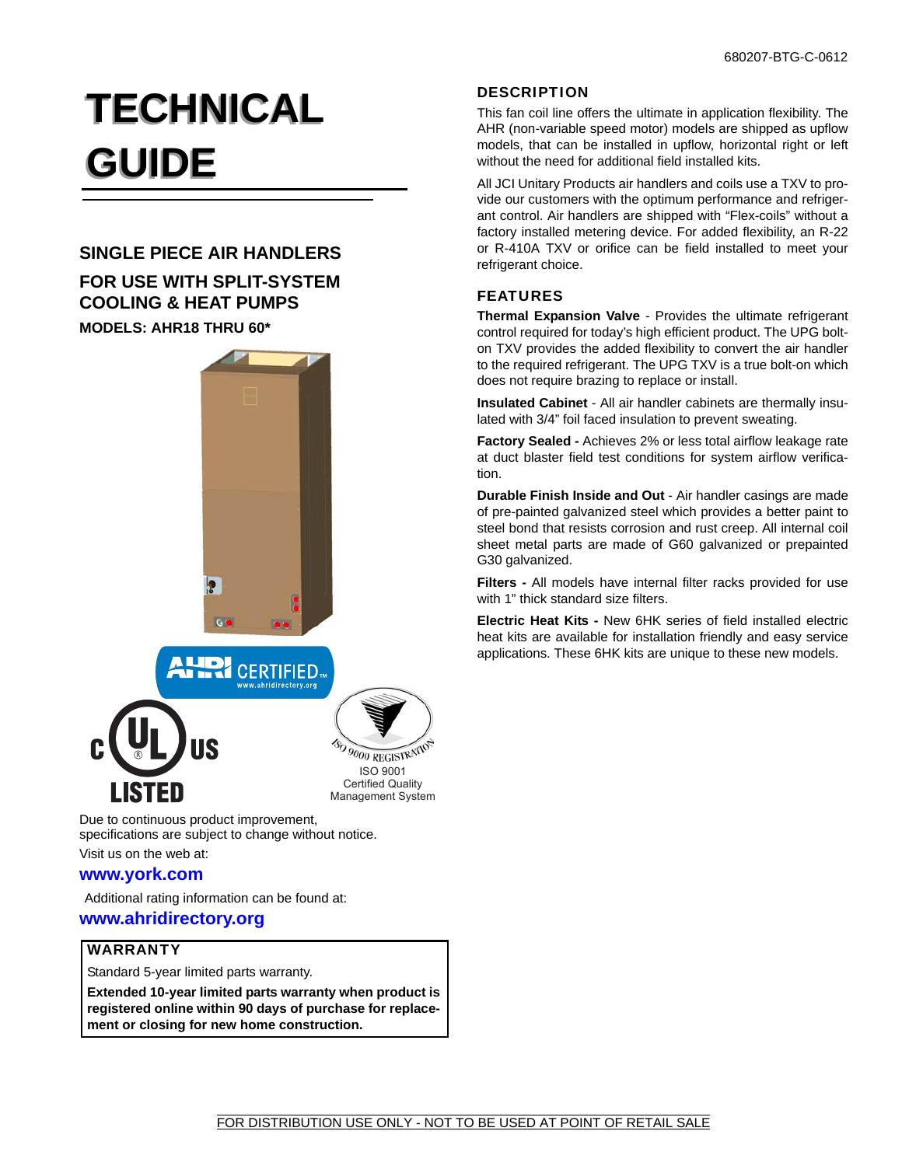# **TECHNICAL TECHNICAL GUIDE GUIDE**

# **SINGLE PIECE AIR HANDLERS**

# **FOR USE WITH SPLIT-SYSTEM COOLING & HEAT PUMPS**

# **MODELS: AHR18 THRU 60\***





SO 9000 REGISTRATIC ISO 9001 Certified Quality

Management System

Due to continuous product improvement, specifications are subject to change without notice.

Visit us on the web at:

# **www.york.com**

Additional rating information can be found at:

### **www.ahridirectory.org**

## WARRANTY

Standard 5-year limited parts warranty.

**Extended 10-year limited parts warranty when product is registered online within 90 days of purchase for replacement or closing for new home construction.**

# **DESCRIPTION**

This fan coil line offers the ultimate in application flexibility. The AHR (non-variable speed motor) models are shipped as upflow models, that can be installed in upflow, horizontal right or left without the need for additional field installed kits.

All JCI Unitary Products air handlers and coils use a TXV to provide our customers with the optimum performance and refrigerant control. Air handlers are shipped with "Flex-coils" without a factory installed metering device. For added flexibility, an R-22 or R-410A TXV or orifice can be field installed to meet your refrigerant choice.

# FEATURES

**Thermal Expansion Valve** - Provides the ultimate refrigerant control required for today's high efficient product. The UPG bolton TXV provides the added flexibility to convert the air handler to the required refrigerant. The UPG TXV is a true bolt-on which does not require brazing to replace or install.

**Insulated Cabinet** - All air handler cabinets are thermally insulated with 3/4" foil faced insulation to prevent sweating.

**Factory Sealed -** Achieves 2% or less total airflow leakage rate at duct blaster field test conditions for system airflow verification.

**Durable Finish Inside and Out** - Air handler casings are made of pre-painted galvanized steel which provides a better paint to steel bond that resists corrosion and rust creep. All internal coil sheet metal parts are made of G60 galvanized or prepainted G30 galvanized.

**Filters -** All models have internal filter racks provided for use with 1" thick standard size filters.

**Electric Heat Kits -** New 6HK series of field installed electric heat kits are available for installation friendly and easy service applications. These 6HK kits are unique to these new models.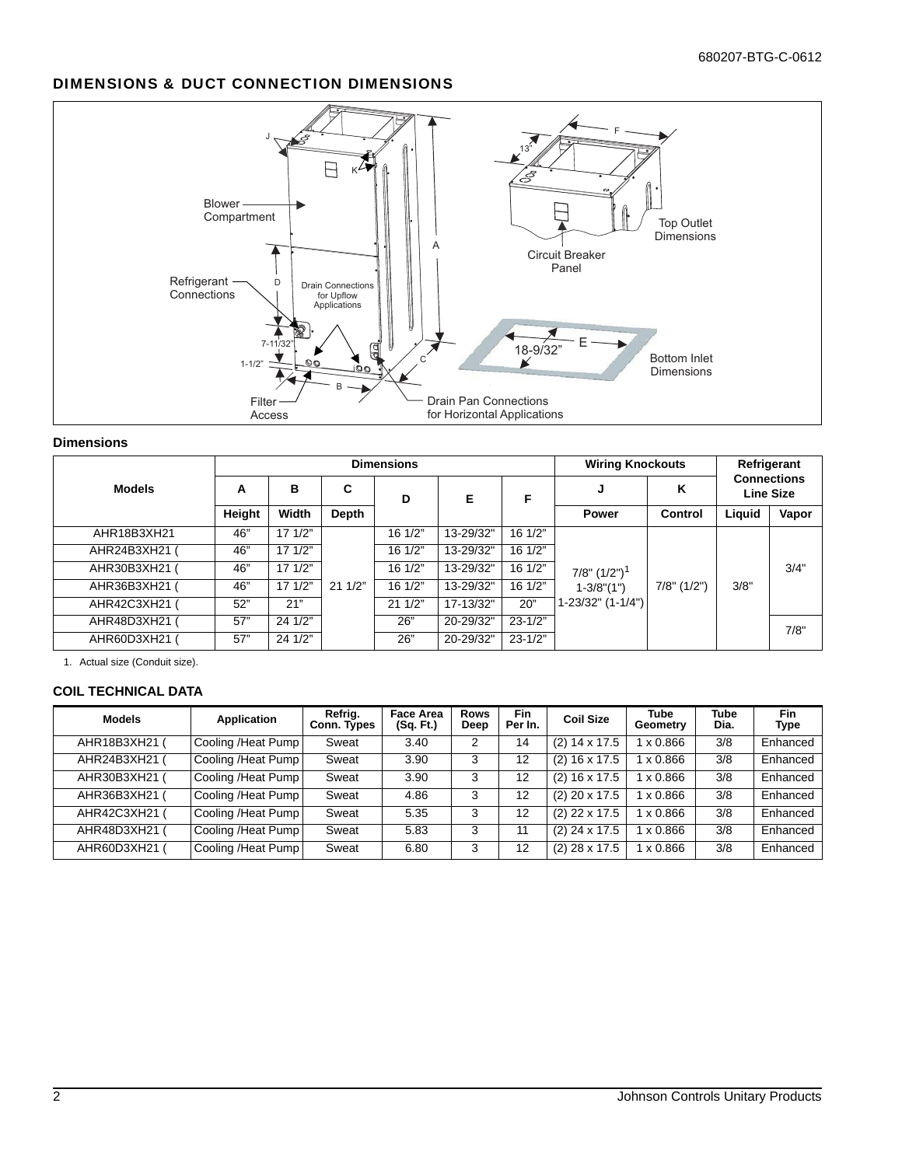# DIMENSIONS & DUCT CONNECTION DIMENSIONS



#### **Dimensions**

|               |        |                  |        | <b>Dimensions</b> |           |                  | <b>Wiring Knockouts</b> |                   | Refrigerant<br><b>Connections</b> |                  |
|---------------|--------|------------------|--------|-------------------|-----------|------------------|-------------------------|-------------------|-----------------------------------|------------------|
| <b>Models</b> | А      | в                | C      | D                 | Е         | F                |                         | Κ                 |                                   | <b>Line Size</b> |
|               | Height | Width            | Depth  |                   |           |                  | <b>Power</b>            | Control           | Liquid                            | Vapor            |
| AHR18B3XH21   | 46"    | $17 \frac{1}{2}$ |        | 161/2"            | 13-29/32" | 16 1/2"          |                         |                   |                                   |                  |
| AHR24B3XH21   | 46"    | 171/2"           |        | 16 1/2"           | 13-29/32" | 16 1/2"          |                         | $7/8$ " $(1/2)$ " |                                   |                  |
| AHR30B3XH21   | 46"    | $17 \frac{1}{2}$ |        | 16 1/2"           | 13-29/32" | 16 1/2"          | $7/8$ " $(1/2")^1$      |                   |                                   | 3/4"             |
| AHR36B3XH21   | 46"    | $17 \frac{1}{2}$ | 211/2" | 16 1/2"           | 13-29/32" | $16 \frac{1}{2}$ | $1 - 3/8$ " $(1")$      |                   | 3/8"                              |                  |
| AHR42C3XH21   | 52"    | 21"              |        | 211/2"            | 17-13/32" | 20"              | 1-23/32" (1-1/4")       |                   |                                   |                  |
| AHR48D3XH21   | 57"    | 241/2"           |        | 26"               | 20-29/32" | $23 - 1/2"$      |                         |                   |                                   | 7/8"             |
| AHR60D3XH21   | 57"    | 24 1/2"          |        | 26"               | 20-29/32" | $23 - 1/2"$      |                         |                   |                                   |                  |

1. Actual size (Conduit size).

#### **COIL TECHNICAL DATA**

| <b>Models</b> | Application         | Refrig.<br>Conn. Types | <b>Face Area</b><br>(Sq. Ft.) | <b>Rows</b><br>Deep | <b>Fin</b><br>Per In. | <b>Coil Size</b> | <b>Tube</b><br>Geometry | <b>Tube</b><br>Dia. | Fin<br>Type |
|---------------|---------------------|------------------------|-------------------------------|---------------------|-----------------------|------------------|-------------------------|---------------------|-------------|
| AHR18B3XH21 ( | Cooling /Heat Pump  | Sweat                  | 3.40                          | 2                   | 14                    | $(2)$ 14 x 17.5  | x 0.866                 | 3/8                 | Enhanced    |
| AHR24B3XH21 ( | Cooling / Heat Pump | Sweat                  | 3.90                          | 3                   | 12                    | $(2)$ 16 x 17.5  | x 0.866                 | 3/8                 | Enhanced    |
| AHR30B3XH21 ( | Cooling /Heat Pump  | Sweat                  | 3.90                          | 3                   | 12                    | $(2)$ 16 x 17.5  | x 0.866                 | 3/8                 | Enhanced    |
| AHR36B3XH21 ( | Cooling /Heat Pump  | Sweat                  | 4.86                          | 3                   | 12                    | $(2)$ 20 x 17.5  | X 0.866                 | 3/8                 | Enhanced    |
| AHR42C3XH21   | Cooling /Heat Pump  | Sweat                  | 5.35                          | 3                   | 12                    | $(2)$ 22 x 17.5  | x 0.866                 | 3/8                 | Enhanced    |
| AHR48D3XH21   | Cooling /Heat Pump  | Sweat                  | 5.83                          | 3                   | 11                    | $(2)$ 24 x 17.5  | x 0.866                 | 3/8                 | Enhanced    |
| AHR60D3XH21   | Cooling /Heat Pump  | Sweat                  | 6.80                          | 3                   | 12                    | $(2)$ 28 x 17.5  | x 0.866                 | 3/8                 | Enhanced    |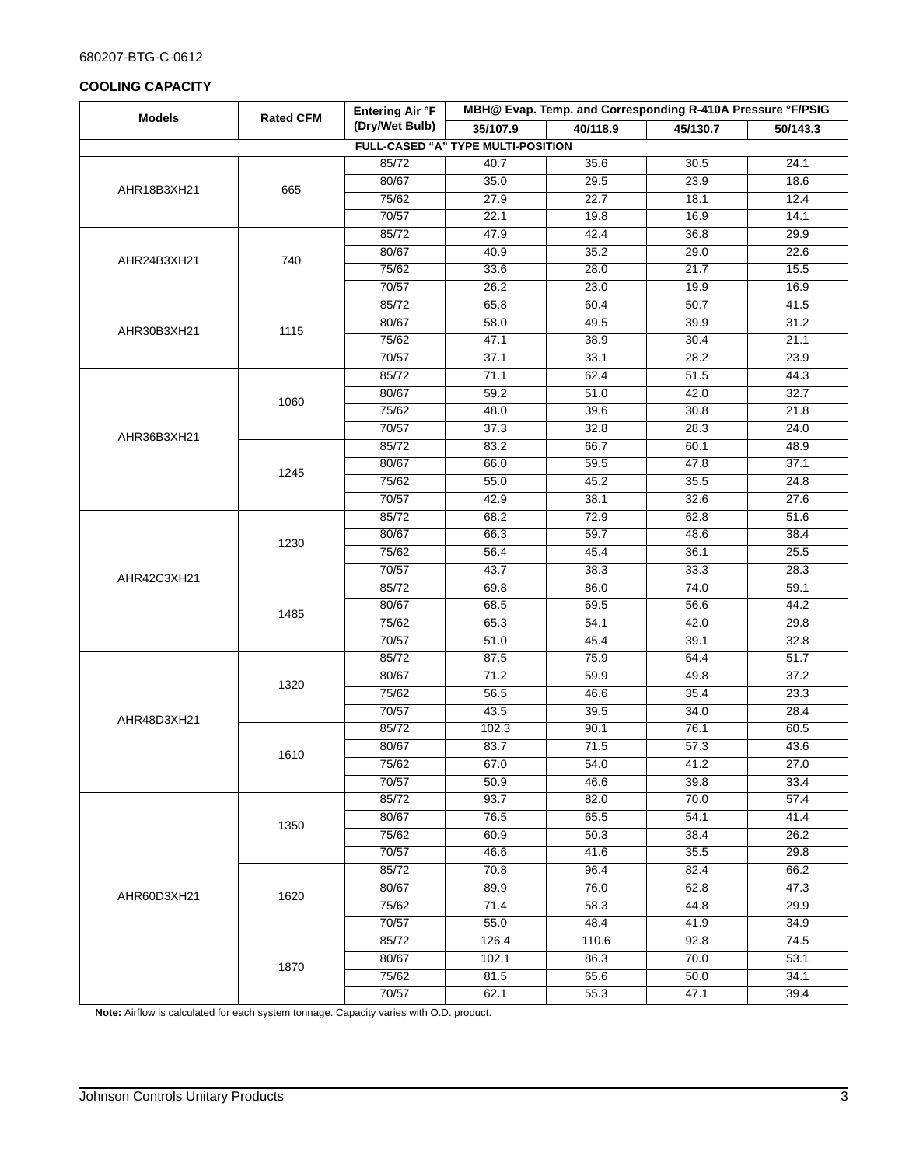#### 680207-BTG-C-0612

#### **COOLING CAPACITY**

| <b>Models</b> | <b>Rated CFM</b> | Entering Air °F |                                           | MBH@ Evap. Temp. and Corresponding R-410A Pressure °F/PSIG |          |          |
|---------------|------------------|-----------------|-------------------------------------------|------------------------------------------------------------|----------|----------|
|               |                  | (Dry/Wet Bulb)  | 35/107.9                                  | 40/118.9                                                   | 45/130.7 | 50/143.3 |
|               |                  |                 | <b>FULL-CASED "A" TYPE MULTI-POSITION</b> |                                                            |          |          |
|               |                  | 85/72           | 40.7                                      | 35.6                                                       | 30.5     | 24.1     |
| AHR18B3XH21   | 665              | 80/67           | 35.0                                      | 29.5                                                       | 23.9     | 18.6     |
|               |                  | 75/62           | 27.9                                      | 22.7                                                       | 18.1     | 12.4     |
|               |                  | 70/57           | 22.1                                      | 19.8                                                       | 16.9     | 14.1     |
|               |                  | 85/72           | 47.9                                      | 42.4                                                       | 36.8     | 29.9     |
| AHR24B3XH21   | 740              | 80/67           | 40.9                                      | 35.2                                                       | 29.0     | 22.6     |
|               |                  | 75/62           | 33.6                                      | 28.0                                                       | 21.7     | 15.5     |
|               |                  | 70/57           | 26.2                                      | 23.0                                                       | 19.9     | 16.9     |
|               |                  | 85/72           | 65.8                                      | 60.4                                                       | 50.7     | 41.5     |
|               |                  | 80/67           | 58.0                                      | 49.5                                                       | 39.9     | 31.2     |
| AHR30B3XH21   | 1115             | 75/62           | 47.1                                      | 38.9                                                       | 30.4     | 21.1     |
|               |                  | 70/57           | 37.1                                      | 33.1                                                       | 28.2     | 23.9     |
|               |                  | 85/72           | 71.1                                      | 62.4                                                       | 51.5     | 44.3     |
|               |                  | 80/67           | 59.2                                      | 51.0                                                       | 42.0     | 32.7     |
|               | 1060             | 75/62           | 48.0                                      | 39.6                                                       | 30.8     | 21.8     |
|               |                  | 70/57           | 37.3                                      | 32.8                                                       | 28.3     | 24.0     |
| AHR36B3XH21   |                  | 85/72           | 83.2                                      | 66.7                                                       | 60.1     | 48.9     |
|               |                  | 80/67           | 66.0                                      | 59.5                                                       | 47.8     | 37.1     |
|               | 1245             | 75/62           | 55.0                                      | 45.2                                                       | 35.5     | 24.8     |
|               |                  | 70/57           | 42.9                                      | 38.1                                                       | 32.6     | 27.6     |
|               |                  | 85/72           | 68.2                                      | 72.9                                                       | 62.8     | 51.6     |
|               |                  | 80/67           | 66.3                                      | 59.7                                                       | 48.6     | 38.4     |
|               | 1230             | 75/62           | 56.4                                      | 45.4                                                       | 36.1     | 25.5     |
|               |                  | 70/57           | 43.7                                      | 38.3                                                       | 33.3     | 28.3     |
| AHR42C3XH21   |                  | 85/72           | 69.8                                      | 86.0                                                       | 74.0     | 59.1     |
|               | 1485             | 80/67           | 68.5                                      | 69.5                                                       | 56.6     | 44.2     |
|               |                  | 75/62           | 65.3                                      | 54.1                                                       | 42.0     | 29.8     |
|               |                  | 70/57           | 51.0                                      | 45.4                                                       | 39.1     | 32.8     |
|               |                  | 85/72           | 87.5                                      | 75.9                                                       | 64.4     | 51.7     |
|               | 1320             | 80/67           | 71.2                                      | 59.9                                                       | 49.8     | 37.2     |
|               |                  | 75/62           | 56.5                                      | 46.6                                                       | 35.4     | 23.3     |
| AHR48D3XH21   |                  | 70/57           | 43.5                                      | 39.5                                                       | 34.0     | 28.4     |
|               |                  | 85/72           | 102.3                                     | 90.1                                                       | 76.1     | 60.5     |
|               | 1610             | 80/67           | 83.7                                      | 71.5                                                       | 57.3     | 43.6     |
|               |                  | 75/62           | 67.0                                      | 54.0                                                       | 41.2     | 27.0     |
|               |                  | 70/57           | 50.9                                      | 46.6                                                       | 39.8     | 33.4     |
|               |                  | 85/72           | 93.7                                      | 82.0                                                       | 70.0     | 57.4     |
|               | 1350             | 80/67           | 76.5                                      | 65.5                                                       | 54.1     | 41.4     |
|               |                  | 75/62           | 60.9                                      | 50.3                                                       | 38.4     | 26.2     |
|               |                  | 70/57           | 46.6                                      | 41.6                                                       | 35.5     | 29.8     |
|               |                  | 85/72           | 70.8                                      | 96.4                                                       | 82.4     | 66.2     |
| AHR60D3XH21   | 1620             | 80/67           | 89.9                                      | 76.0                                                       | 62.8     | 47.3     |
|               |                  | 75/62           | 71.4                                      | 58.3                                                       | 44.8     | 29.9     |
|               |                  | 70/57           | 55.0                                      | 48.4                                                       | 41.9     | 34.9     |
|               |                  | 85/72           | 126.4                                     | 110.6                                                      | 92.8     | 74.5     |
|               | 1870             | 80/67           | 102.1                                     | 86.3                                                       | 70.0     | 53.1     |
|               |                  | 75/62           | 81.5                                      | 65.6                                                       | 50.0     | 34.1     |
|               |                  | 70/57           | 62.1                                      | 55.3                                                       | 47.1     | 39.4     |

**Note:** Airflow is calculated for each system tonnage. Capacity varies with O.D. product.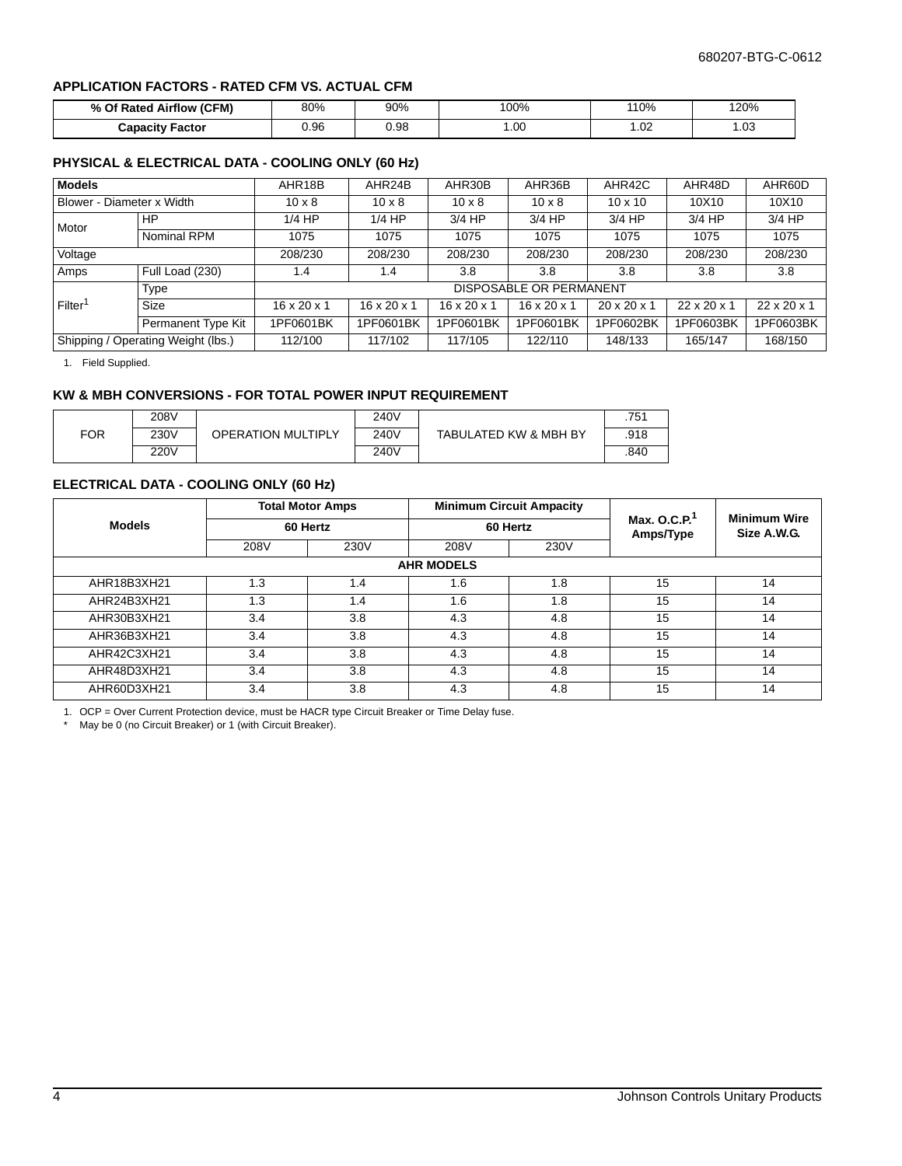#### **APPLICATION FACTORS - RATED CFM VS. ACTUAL CFM**

| % Of Rated Airflow (CFM) | 80%  | 90%  | $100\%$ | 110%          | 120% |
|--------------------------|------|------|---------|---------------|------|
| <b>Capacity Factor</b>   | ა.96 | ).98 | .00     | $\sim$<br>.uz | . 03 |

#### **PHYSICAL & ELECTRICAL DATA - COOLING ONLY (60 Hz)**

| <b>Models</b>             |                                    | AHR18B                  | AHR24B                  | AHR30B                  | AHR36B                         | AHR42C                  | AHR48D                  | AHR60D                  |
|---------------------------|------------------------------------|-------------------------|-------------------------|-------------------------|--------------------------------|-------------------------|-------------------------|-------------------------|
| Blower - Diameter x Width |                                    | $10 \times 8$           | $10 \times 8$           | $10 \times 8$           | $10 \times 8$                  | $10 \times 10$          | 10X10                   | 10X10                   |
| Motor                     | HP                                 | $1/4$ HP                | $1/4$ HP                | $3/4$ HP                | $3/4$ HP                       | $3/4$ HP                | $3/4$ HP                | $3/4$ HP                |
|                           | Nominal RPM                        | 1075                    | 1075                    | 1075                    | 1075                           | 1075                    | 1075                    | 1075                    |
| Voltage                   |                                    | 208/230                 | 208/230                 | 208/230                 | 208/230                        | 208/230                 | 208/230                 | 208/230                 |
| Amps                      | Full Load (230)                    | 1.4                     | 1.4                     | 3.8                     | 3.8                            | 3.8                     | 3.8                     | 3.8                     |
|                           | Type                               |                         |                         |                         | <b>DISPOSABLE OR PERMANENT</b> |                         |                         |                         |
| Filter <sup>1</sup>       | <b>Size</b>                        | $16 \times 20 \times 1$ | $16 \times 20 \times 1$ | $16 \times 20 \times 1$ | $16 \times 20 \times 1$        | $20 \times 20 \times 1$ | $22 \times 20 \times 1$ | $22 \times 20 \times 1$ |
|                           | Permanent Type Kit                 | 1PF0601BK               | 1PF0601BK               | 1PF0601BK               | 1PF0601BK                      | 1PF0602BK               | 1PF0603BK               | 1PF0603BK               |
|                           | Shipping / Operating Weight (lbs.) |                         | 117/102                 | 117/105                 | 122/110                        | 148/133                 | 165/147                 | 168/150                 |

1. Field Supplied.

#### **KW & MBH CONVERSIONS - FOR TOTAL POWER INPUT REQUIREMENT**

|            | 208V |                           | 240V |                       | .751 |
|------------|------|---------------------------|------|-----------------------|------|
| <b>FOR</b> | 230V | <b>OPERATION MULTIPLY</b> | 240V | TABULATED KW & MBH BY | .918 |
|            | 220V |                           | 240V |                       | .840 |

#### **ELECTRICAL DATA - COOLING ONLY (60 Hz)**

|               |      | <b>Total Motor Amps</b> |                   | <b>Minimum Circuit Ampacity</b> |                              | <b>Minimum Wire</b> |  |
|---------------|------|-------------------------|-------------------|---------------------------------|------------------------------|---------------------|--|
| <b>Models</b> |      | 60 Hertz                |                   | 60 Hertz                        | Max. O.C.P. $1$<br>Amps/Type | Size A.W.G.         |  |
|               | 208V | 230V                    | 230V<br>208V      |                                 |                              |                     |  |
|               |      |                         | <b>AHR MODELS</b> |                                 |                              |                     |  |
| AHR18B3XH21   | 1.3  | 1.4                     | 1.6               | 1.8                             | 15                           | 14                  |  |
| AHR24B3XH21   | 1.3  | 1.4                     | 1.6               | 1.8                             | 15                           | 14                  |  |
| AHR30B3XH21   | 3.4  | 3.8                     | 4.3               | 4.8                             | 15                           | 14                  |  |
| AHR36B3XH21   | 3.4  | 3.8                     | 4.3               | 4.8                             | 15                           | 14                  |  |
| AHR42C3XH21   | 3.4  | 3.8                     | 4.3               | 4.8                             | 15                           | 14                  |  |
| AHR48D3XH21   | 3.4  | 3.8                     | 4.3               | 4.8                             | 15                           | 14                  |  |
| AHR60D3XH21   | 3.4  | 3.8                     | 4.3               | 4.8                             | 15                           | 14                  |  |

1. OCP = Over Current Protection device, must be HACR type Circuit Breaker or Time Delay fuse.

\* May be 0 (no Circuit Breaker) or 1 (with Circuit Breaker).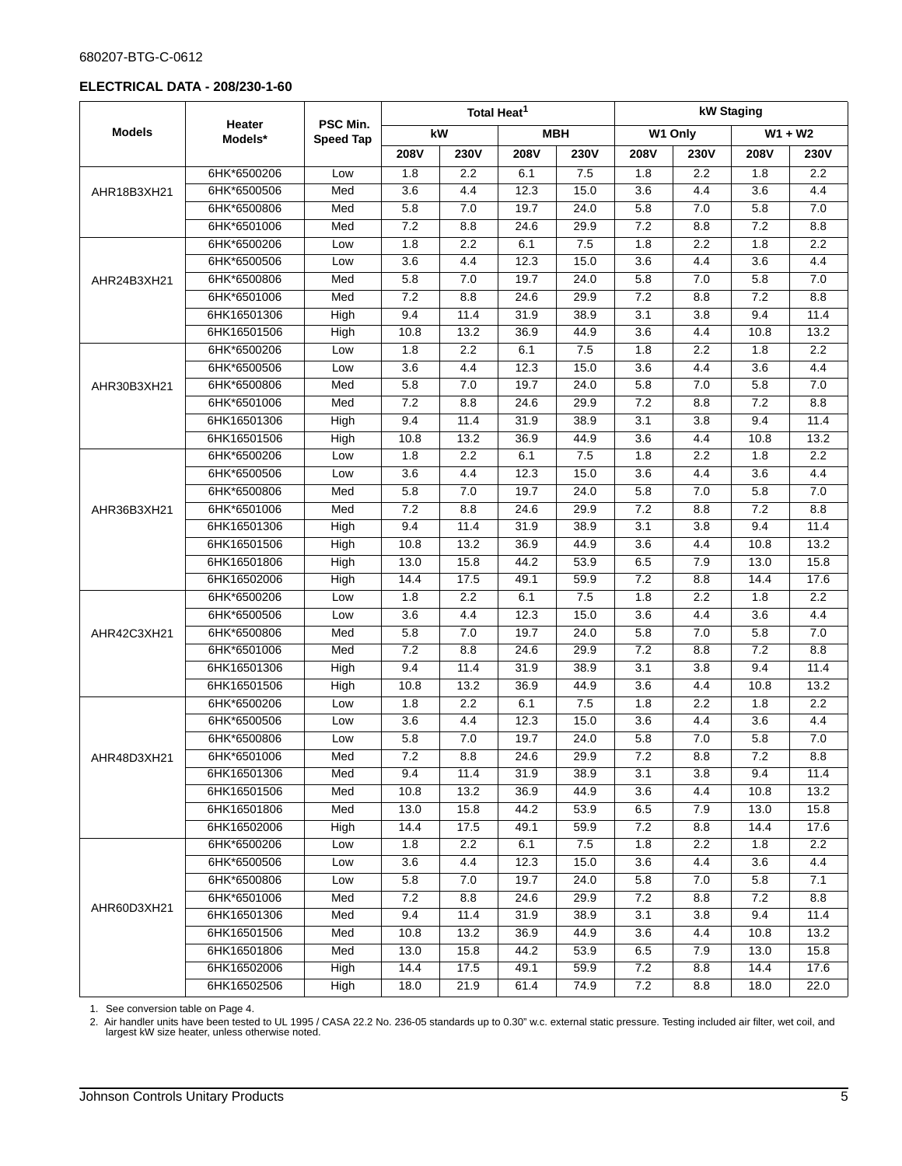#### 680207-BTG-C-0612

#### **ELECTRICAL DATA - 208/230-1-60**

|               |                   |                              |                  |                  | Total Heat <sup>1</sup> |            | kW Staging       |                  |                  |                  |
|---------------|-------------------|------------------------------|------------------|------------------|-------------------------|------------|------------------|------------------|------------------|------------------|
| <b>Models</b> | Heater<br>Models* | PSC Min.<br><b>Speed Tap</b> |                  | kW               |                         | <b>MBH</b> |                  | W1 Only          |                  | $W1 + W2$        |
|               |                   |                              | 208V             | 230V             | 208V                    | 230V       | <b>208V</b>      | 230V             | 208V             | <b>230V</b>      |
|               | 6HK*6500206       | Low                          | $\overline{1.8}$ | $\overline{2.2}$ | 6.1                     | 7.5        | $\overline{1.8}$ | $\overline{2.2}$ | 1.8              | $\overline{2.2}$ |
| AHR18B3XH21   | 6HK*6500506       | Med                          | 3.6              | 4.4              | 12.3                    | 15.0       | 3.6              | 4.4              | $\overline{3.6}$ | 4.4              |
|               | 6HK*6500806       | Med                          | 5.8              | 7.0              | 19.7                    | 24.0       | 5.8              | 7.0              | 5.8              | 7.0              |
|               | 6HK*6501006       | Med                          | 7.2              | 8.8              | 24.6                    | 29.9       | 7.2              | 8.8              | 7.2              | 8.8              |
|               | 6HK*6500206       | Low                          | 1.8              | 2.2              | 6.1                     | 7.5        | 1.8              | 2.2              | 1.8              | 2.2              |
|               | 6HK*6500506       | Low                          | 3.6              | 4.4              | 12.3                    | 15.0       | 3.6              | 4.4              | 3.6              | 4.4              |
| AHR24B3XH21   | 6HK*6500806       | Med                          | 5.8              | 7.0              | 19.7                    | 24.0       | 5.8              | 7.0              | 5.8              | 7.0              |
|               | 6HK*6501006       | Med                          | 7.2              | 8.8              | 24.6                    | 29.9       | 7.2              | 8.8              | 7.2              | 8.8              |
|               | 6HK16501306       | High                         | 9.4              | 11.4             | 31.9                    | 38.9       | 3.1              | $\overline{3.8}$ | 9.4              | 11.4             |
|               | 6HK16501506       | High                         | 10.8             | 13.2             | 36.9                    | 44.9       | 3.6              | 4.4              | 10.8             | 13.2             |
|               | 6HK*6500206       | Low                          | 1.8              | 2.2              | 6.1                     | 7.5        | 1.8              | 2.2              | 1.8              | 2.2              |
|               | 6HK*6500506       | Low                          | 3.6              | 4.4              | 12.3                    | 15.0       | 3.6              | 4.4              | $\overline{3.6}$ | 4.4              |
| AHR30B3XH21   | 6HK*6500806       | Med                          | 5.8              | 7.0              | 19.7                    | 24.0       | 5.8              | 7.0              | 5.8              | 7.0              |
|               | 6HK*6501006       | Med                          | 7.2              | 8.8              | 24.6                    | 29.9       | 7.2              | 8.8              | 7.2              | 8.8              |
|               | 6HK16501306       | High                         | 9.4              | 11.4             | 31.9                    | 38.9       | 3.1              | $\overline{3.8}$ | 9.4              | 11.4             |
|               | 6HK16501506       | High                         | 10.8             | 13.2             | 36.9                    | 44.9       | 3.6              | 4.4              | 10.8             | 13.2             |
|               | 6HK*6500206       | Low                          | 1.8              | 2.2              | 6.1                     | 7.5        | 1.8              | 2.2              | 1.8              | 2.2              |
|               | 6HK*6500506       | Low                          | 3.6              | 4.4              | 12.3                    | 15.0       | 3.6              | 4.4              | $\overline{3.6}$ | 4.4              |
|               | 6HK*6500806       | Med                          | 5.8              | 7.0              | 19.7                    | 24.0       | 5.8              | 7.0              | 5.8              | 7.0              |
| AHR36B3XH21   | 6HK*6501006       | Med                          | 7.2              | 8.8              | 24.6                    | 29.9       | 7.2              | 8.8              | 7.2              | 8.8              |
|               | 6HK16501306       | High                         | 9.4              | 11.4             | 31.9                    | 38.9       | 3.1              | $\overline{3.8}$ | 9.4              | 11.4             |
|               | 6HK16501506       | High                         | 10.8             | 13.2             | 36.9                    | 44.9       | 3.6              | 4.4              | 10.8             | 13.2             |
|               | 6HK16501806       | High                         | 13.0             | 15.8             | 44.2                    | 53.9       | 6.5              | 7.9              | 13.0             | 15.8             |
|               | 6HK16502006       | High                         | 14.4             | 17.5             | 49.1                    | 59.9       | 7.2              | 8.8              | 14.4             | 17.6             |
|               | 6HK*6500206       | Low                          | 1.8              | 2.2              | 6.1                     | 7.5        | 1.8              | 2.2              | 1.8              | 2.2              |
|               | 6HK*6500506       | Low                          | 3.6              | 4.4              | 12.3                    | 15.0       | 3.6              | 4.4              | $\overline{3.6}$ | 4.4              |
| AHR42C3XH21   | 6HK*6500806       | Med                          | 5.8              | 7.0              | 19.7                    | 24.0       | 5.8              | 7.0              | 5.8              | 7.0              |
|               | 6HK*6501006       | Med                          | 7.2              | 8.8              | 24.6                    | 29.9       | 7.2              | 8.8              | 7.2              | 8.8              |
|               | 6HK16501306       | High                         | 9.4              | 11.4             | 31.9                    | 38.9       | 3.1              | $\overline{3.8}$ | 9.4              | 11.4             |
|               | 6HK16501506       | High                         | 10.8             | 13.2             | 36.9                    | 44.9       | 3.6              | 4.4              | 10.8             | 13.2             |
|               | 6HK*6500206       | Low                          | 1.8              | 2.2              | 6.1                     | 7.5        | 1.8              | 2.2              | 1.8              | 2.2              |
|               | 6HK*6500506       | Low                          | 3.6              | 4.4              | 12.3                    | 15.0       | 3.6              | 4.4              | $\overline{3.6}$ | 4.4              |
|               | 6HK*6500806       | Low                          | 5.8              | 7.0              | 19.7                    | 24.0       | 5.8              | 7.0              | 5.8              | 7.0              |
| AHR48D3XH21   | 6HK*6501006       | Med                          | 7.2              | 8.8              | 24.6                    | 29.9       | 7.2              | 8.8              | $\overline{7.2}$ | 8.8              |
|               | 6HK16501306       | Med                          | 9.4              | 11.4             | 31.9                    | 38.9       | 3.1              | 3.8              | 9.4              | 11.4             |
|               | 6HK16501506       | Med                          | 10.8             | 13.2             | 36.9                    | 44.9       | 3.6              | 4.4              | 10.8             | 13.2             |
|               | 6HK16501806       | Med                          | 13.0             | 15.8             | 44.2                    | 53.9       | 6.5              | 7.9              | 13.0             | 15.8             |
|               | 6HK16502006       | High                         | 14.4             | 17.5             | 49.1                    | 59.9       | 7.2              | 8.8              | 14.4             | 17.6             |
|               | 6HK*6500206       | Low                          | 1.8              | 2.2              | 6.1                     | 7.5        | 1.8              | 2.2              | 1.8              | 2.2              |
|               | 6HK*6500506       | Low                          | 3.6              | 4.4              | 12.3                    | 15.0       | 3.6              | 4.4              | 3.6              | 4.4              |
|               | 6HK*6500806       | Low                          | 5.8              | 7.0              | 19.7                    | 24.0       | 5.8              | 7.0              | 5.8              | 7.1              |
| AHR60D3XH21   | 6HK*6501006       | Med                          | 7.2              | 8.8              | 24.6                    | 29.9       | 7.2              | 8.8              | 7.2              | 8.8              |
|               | 6HK16501306       | Med                          | 9.4              | 11.4             | 31.9                    | 38.9       | 3.1              | 3.8              | 9.4              | 11.4             |
|               | 6HK16501506       | Med                          | 10.8             | 13.2             | 36.9                    | 44.9       | 3.6              | 4.4              | 10.8             | 13.2             |
|               | 6HK16501806       | Med                          | 13.0             | 15.8             | 44.2                    | 53.9       | 6.5              | 7.9              | 13.0             | 15.8             |
|               | 6HK16502006       | High                         | 14.4             | 17.5             | 49.1                    | 59.9       | 7.2              | 8.8              | 14.4             | 17.6             |
|               | 6HK16502506       | High                         | 18.0             | 21.9             | 61.4                    | 74.9       | 7.2              | 8.8              | 18.0             | 22.0             |

1. See conversion table on Page 4.

2. Air handler units have been tested to UL 1995 / CASA 22.2 No. 236-05 standards up to 0.30" w.c. external static pressure. Testing included air filter, wet coil, and largest kW size heater, unless otherwise noted.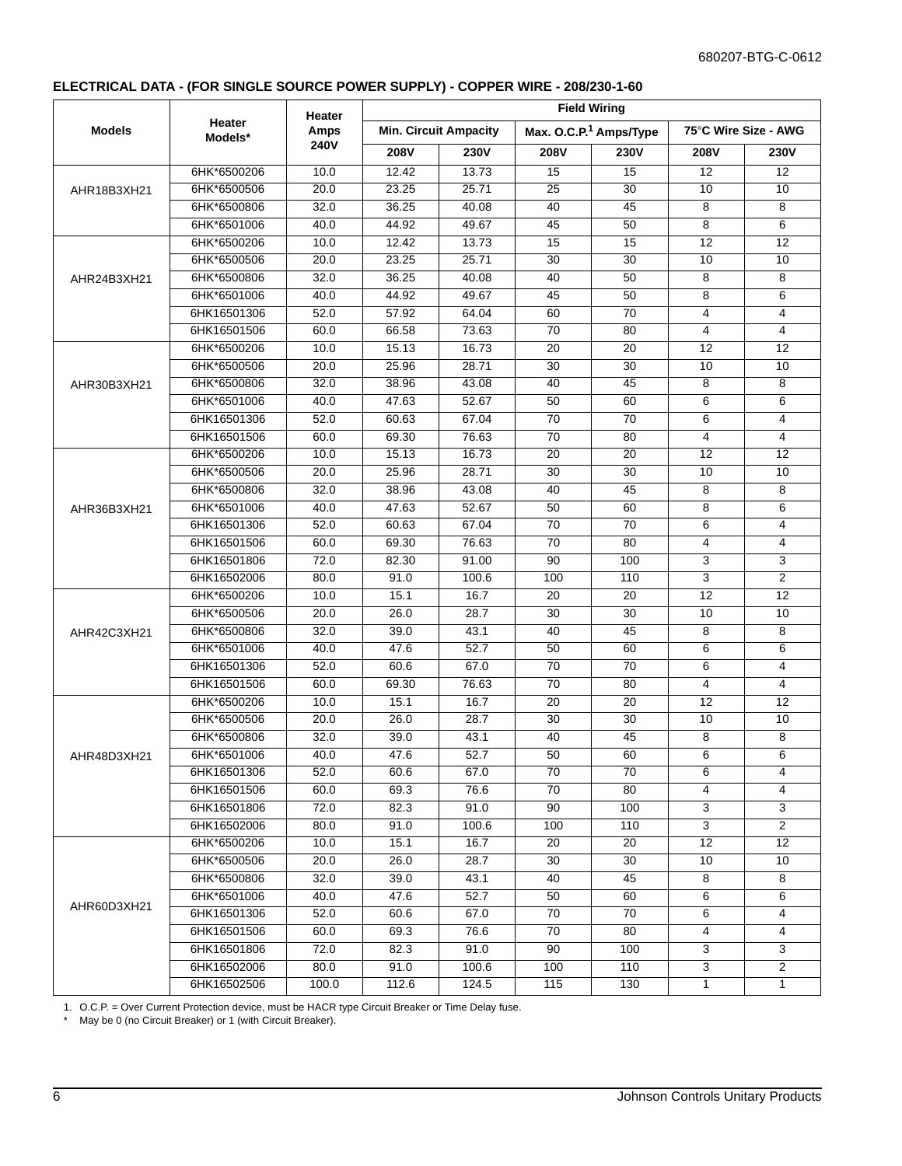#### **ELECTRICAL DATA - (FOR SINGLE SOURCE POWER SUPPLY) - COPPER WIRE - 208/230-1-60**

|               |                   | <b>Heater</b>     |             |                              |                 | <b>Field Wiring</b>                |                      |                |
|---------------|-------------------|-------------------|-------------|------------------------------|-----------------|------------------------------------|----------------------|----------------|
| <b>Models</b> | Heater<br>Models* | Amps              |             | <b>Min. Circuit Ampacity</b> |                 | Max. O.C.P. <sup>1</sup> Amps/Type | 75°C Wire Size - AWG |                |
|               |                   | 240V              | <b>208V</b> | <b>230V</b>                  | <b>208V</b>     | <b>230V</b>                        | <b>208V</b>          | <b>230V</b>    |
|               | 6HK*6500206       | 10.0              | 12.42       | 13.73                        | 15              | 15                                 | 12                   | 12             |
| AHR18B3XH21   | 6HK*6500506       | 20.0              | 23.25       | 25.71                        | 25              | 30                                 | 10                   | 10             |
|               | 6HK*6500806       | 32.0              | 36.25       | 40.08                        | 40              | 45                                 | 8                    | 8              |
|               | 6HK*6501006       | 40.0              | 44.92       | 49.67                        | 45              | 50                                 | 8                    | 6              |
|               | 6HK*6500206       | 10.0              | 12.42       | 13.73                        | 15              | 15                                 | 12                   | 12             |
|               | 6HK*6500506       | 20.0              | 23.25       | 25.71                        | 30              | 30                                 | 10                   | 10             |
| AHR24B3XH21   | 6HK*6500806       | 32.0              | 36.25       | 40.08                        | 40              | 50                                 | 8                    | 8              |
|               | 6HK*6501006       | 40.0              | 44.92       | 49.67                        | 45              | 50                                 | 8                    | 6              |
|               | 6HK16501306       | 52.0              | 57.92       | 64.04                        | 60              | 70                                 | $\overline{4}$       | $\overline{4}$ |
|               | 6HK16501506       | 60.0              | 66.58       | 73.63                        | 70              | 80                                 | $\overline{4}$       | 4              |
|               | 6HK*6500206       | 10.0              | 15.13       | 16.73                        | 20              | 20                                 | 12                   | 12             |
|               | 6HK*6500506       | 20.0              | 25.96       | 28.71                        | 30              | 30                                 | 10                   | 10             |
| AHR30B3XH21   | 6HK*6500806       | 32.0              | 38.96       | 43.08                        | 40              | 45                                 | 8                    | 8              |
|               | 6HK*6501006       | 40.0              | 47.63       | 52.67                        | 50              | 60                                 | 6                    | 6              |
|               | 6HK16501306       | 52.0              | 60.63       | 67.04                        | 70              | 70                                 | 6                    | 4              |
|               | 6HK16501506       | 60.0              | 69.30       | 76.63                        | 70              | 80                                 | $\overline{4}$       | 4              |
|               | 6HK*6500206       | 10.0              | 15.13       | 16.73                        | 20              | 20                                 | 12                   | 12             |
|               | 6HK*6500506       | 20.0              | 25.96       | 28.71                        | 30              | 30                                 | 10                   | 10             |
|               | 6HK*6500806       | 32.0              | 38.96       | 43.08                        | 40              | 45                                 | 8                    | 8              |
| AHR36B3XH21   | 6HK*6501006       | 40.0              | 47.63       | 52.67                        | 50              | 60                                 | 8                    | 6              |
|               | 6HK16501306       | 52.0              | 60.63       | 67.04                        | 70              | 70                                 | 6                    | 4              |
|               | 6HK16501506       | 60.0              | 69.30       | 76.63                        | $\overline{70}$ | 80                                 | $\overline{4}$       | 4              |
|               | 6HK16501806       | 72.0              | 82.30       | 91.00                        | 90              | 100                                | 3                    | 3              |
|               | 6HK16502006       | 80.0              | 91.0        | 100.6                        | 100             | 110                                | 3                    | $\overline{2}$ |
|               | 6HK*6500206       | 10.0              | 15.1        | 16.7                         | 20              | 20                                 | 12                   | 12             |
|               | 6HK*6500506       | 20.0              | 26.0        | 28.7                         | 30              | 30                                 | 10                   | 10             |
| AHR42C3XH21   | 6HK*6500806       | 32.0              | 39.0        | 43.1                         | 40              | 45                                 | 8                    | 8              |
|               | 6HK*6501006       | 40.0              | 47.6        | 52.7                         | 50              | 60                                 | 6                    | 6              |
|               | 6HK16501306       | 52.0              | 60.6        | 67.0                         | 70              | 70                                 | 6                    | 4              |
|               | 6HK16501506       | 60.0              | 69.30       | 76.63                        | 70              | 80                                 | $\overline{4}$       | $\overline{4}$ |
|               | 6HK*6500206       | 10.0              | 15.1        | 16.7                         | 20              | 20                                 | 12                   | 12             |
|               | 6HK*6500506       | 20.0              | 26.0        | 28.7                         | 30              | 30                                 | 10                   | 10             |
|               | 6HK*6500806       | 32.0              | 39.0        | 43.1                         | 40              | 45                                 | 8                    | 8              |
| AHR48D3XH21   | 6HK*6501006       | 40.0              | 47.6        | 52.7                         | 50              | 60                                 | 6                    | 6              |
|               | 6HK16501306       | 52.0              | 60.6        | 67.0                         | 70              | 70                                 | 6                    | 4              |
|               | 6HK16501506       | 60.0              | 69.3        | 76.6                         | 70              | 80                                 | 4                    | 4              |
|               | 6HK16501806       | 72.0              | 82.3        | 91.0                         | 90              | 100                                | 3                    | 3              |
|               | 6HK16502006       | 80.0              | 91.0        | 100.6                        | 100             | 110                                | 3                    | $\overline{a}$ |
|               | 6HK*6500206       | 10.0              | 15.1        | 16.7                         | 20              | 20                                 | 12                   | 12             |
|               | 6HK*6500506       | 20.0              | 26.0        | 28.7                         | 30              | 30                                 | 10                   | 10             |
|               | 6HK*6500806       | 32.0              | 39.0        | 43.1                         | 40              | 45                                 | 8                    | 8              |
|               | 6HK*6501006       | 40.0              | 47.6        | 52.7                         | 50              | 60                                 | 6                    | 6              |
| AHR60D3XH21   | 6HK16501306       | 52.0              | 60.6        | 67.0                         | 70              | 70                                 | 6                    | 4              |
|               | 6HK16501506       | 60.0              | 69.3        | 76.6                         | 70              | 80                                 | 4                    | 4              |
|               | 6HK16501806       | 72.0              | 82.3        | 91.0                         | 90              | 100                                | 3                    | 3              |
|               | 6HK16502006       | $\overline{80.0}$ | 91.0        | 100.6                        | 100             | 110                                | 3                    | $\overline{2}$ |
|               | 6HK16502506       | 100.0             | 112.6       | 124.5                        | 115             | 130                                | 1                    | $\mathbf{1}$   |

1. O.C.P. = Over Current Protection device, must be HACR type Circuit Breaker or Time Delay fuse.

\* May be 0 (no Circuit Breaker) or 1 (with Circuit Breaker).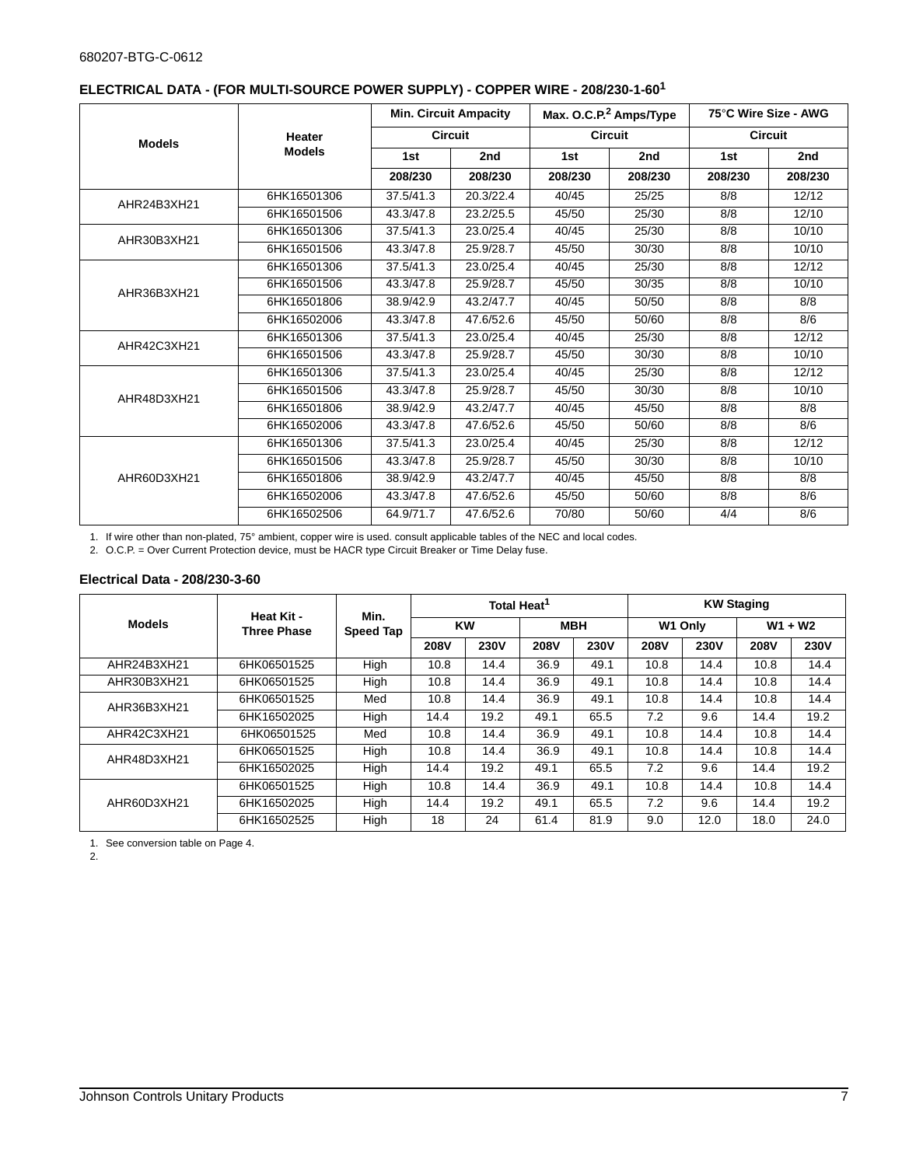|               |               |           | <b>Min. Circuit Ampacity</b> |         | Max. O.C.P. <sup>2</sup> Amps/Type |         | 75°C Wire Size - AWG |
|---------------|---------------|-----------|------------------------------|---------|------------------------------------|---------|----------------------|
| <b>Models</b> | <b>Heater</b> |           | <b>Circuit</b>               |         | <b>Circuit</b>                     |         | <b>Circuit</b>       |
|               | <b>Models</b> | 1st       | 2nd                          | 1st     | 2nd                                | 1st     | 2nd                  |
|               |               | 208/230   | 208/230                      | 208/230 | 208/230                            | 208/230 | 208/230              |
| AHR24B3XH21   | 6HK16501306   | 37.5/41.3 | 20.3/22.4                    | 40/45   | 25/25                              | 8/8     | 12/12                |
|               | 6HK16501506   | 43.3/47.8 | 23.2/25.5                    | 45/50   | 25/30                              | 8/8     | 12/10                |
| AHR30B3XH21   | 6HK16501306   | 37.5/41.3 | 23.0/25.4                    | 40/45   | 25/30                              | 8/8     | 10/10                |
|               | 6HK16501506   | 43.3/47.8 | 25.9/28.7                    | 45/50   | 30/30                              | 8/8     | 10/10                |
|               | 6HK16501306   | 37.5/41.3 | 23.0/25.4                    | 40/45   | 25/30                              | 8/8     | $\overline{12/12}$   |
| AHR36B3XH21   | 6HK16501506   | 43.3/47.8 | 25.9/28.7                    | 45/50   | 30/35                              | 8/8     | 10/10                |
|               | 6HK16501806   | 38.9/42.9 | 43.2/47.7                    | 40/45   | 50/50                              | 8/8     | 8/8                  |
|               | 6HK16502006   | 43.3/47.8 | 47.6/52.6                    | 45/50   | 50/60                              | 8/8     | 8/6                  |
| AHR42C3XH21   | 6HK16501306   | 37.5/41.3 | 23.0/25.4                    | 40/45   | 25/30                              | 8/8     | 12/12                |
|               | 6HK16501506   | 43.3/47.8 | 25.9/28.7                    | 45/50   | 30/30                              | 8/8     | 10/10                |
|               | 6HK16501306   | 37.5/41.3 | 23.0/25.4                    | 40/45   | 25/30                              | 8/8     | 12/12                |
| AHR48D3XH21   | 6HK16501506   | 43.3/47.8 | 25.9/28.7                    | 45/50   | 30/30                              | 8/8     | 10/10                |
|               | 6HK16501806   | 38.9/42.9 | 43.2/47.7                    | 40/45   | 45/50                              | 8/8     | 8/8                  |
|               | 6HK16502006   | 43.3/47.8 | 47.6/52.6                    | 45/50   | 50/60                              | 8/8     | 8/6                  |
|               | 6HK16501306   | 37.5/41.3 | 23.0/25.4                    | 40/45   | 25/30                              | 8/8     | 12/12                |
|               | 6HK16501506   | 43.3/47.8 | 25.9/28.7                    | 45/50   | 30/30                              | 8/8     | 10/10                |
| AHR60D3XH21   | 6HK16501806   | 38.9/42.9 | 43.2/47.7                    | 40/45   | 45/50                              | 8/8     | 8/8                  |
|               | 6HK16502006   | 43.3/47.8 | 47.6/52.6                    | 45/50   | 50/60                              | 8/8     | 8/6                  |
|               | 6HK16502506   | 64.9/71.7 | 47.6/52.6                    | 70/80   | 50/60                              | 4/4     | 8/6                  |

# **ELECTRICAL DATA - (FOR MULTI-SOURCE POWER SUPPLY) - COPPER WIRE - 208/230-1-601**

1. If wire other than non-plated, 75° ambient, copper wire is used. consult applicable tables of the NEC and local codes.

2. O.C.P. = Over Current Protection device, must be HACR type Circuit Breaker or Time Delay fuse.

#### **Electrical Data - 208/230-3-60**

|               |                                  | Min.      |             | Total Heat <sup>1</sup> |             |             | <b>KW Staging</b> |             |             |             |
|---------------|----------------------------------|-----------|-------------|-------------------------|-------------|-------------|-------------------|-------------|-------------|-------------|
| <b>Models</b> | Heat Kit -<br><b>Three Phase</b> | Speed Tap | KW          |                         | <b>MBH</b>  |             | W1 Only           |             | $W1 + W2$   |             |
|               |                                  |           | <b>208V</b> | <b>230V</b>             | <b>208V</b> | <b>230V</b> | <b>208V</b>       | <b>230V</b> | <b>208V</b> | <b>230V</b> |
| AHR24B3XH21   | 6HK06501525                      | High      | 10.8        | 14.4                    | 36.9        | 49.1        | 10.8              | 14.4        | 10.8        | 14.4        |
| AHR30B3XH21   | 6HK06501525                      | High      | 10.8        | 14.4                    | 36.9        | 49.1        | 10.8              | 14.4        | 10.8        | 14.4        |
| AHR36B3XH21   | 6HK06501525                      | Med       | 10.8        | 14.4                    | 36.9        | 49.1        | 10.8              | 14.4        | 10.8        | 14.4        |
|               | 6HK16502025                      | High      | 14.4        | 19.2                    | 49.1        | 65.5        | 7.2               | 9.6         | 14.4        | 19.2        |
| AHR42C3XH21   | 6HK06501525                      | Med       | 10.8        | 14.4                    | 36.9        | 49.1        | 10.8              | 14.4        | 10.8        | 14.4        |
| AHR48D3XH21   | 6HK06501525                      | High      | 10.8        | 14.4                    | 36.9        | 49.1        | 10.8              | 14.4        | 10.8        | 14.4        |
|               | 6HK16502025                      | High      | 14.4        | 19.2                    | 49.1        | 65.5        | 7.2               | 9.6         | 14.4        | 19.2        |
|               | 6HK06501525                      | High      | 10.8        | 14.4                    | 36.9        | 49.1        | 10.8              | 14.4        | 10.8        | 14.4        |
| AHR60D3XH21   | 6HK16502025                      | High      | 14.4        | 19.2                    | 49.1        | 65.5        | 7.2               | 9.6         | 14.4        | 19.2        |
|               | 6HK16502525                      | High      | 18          | 24                      | 61.4        | 81.9        | 9.0               | 12.0        | 18.0        | 24.0        |

1. See conversion table on Page 4.

2.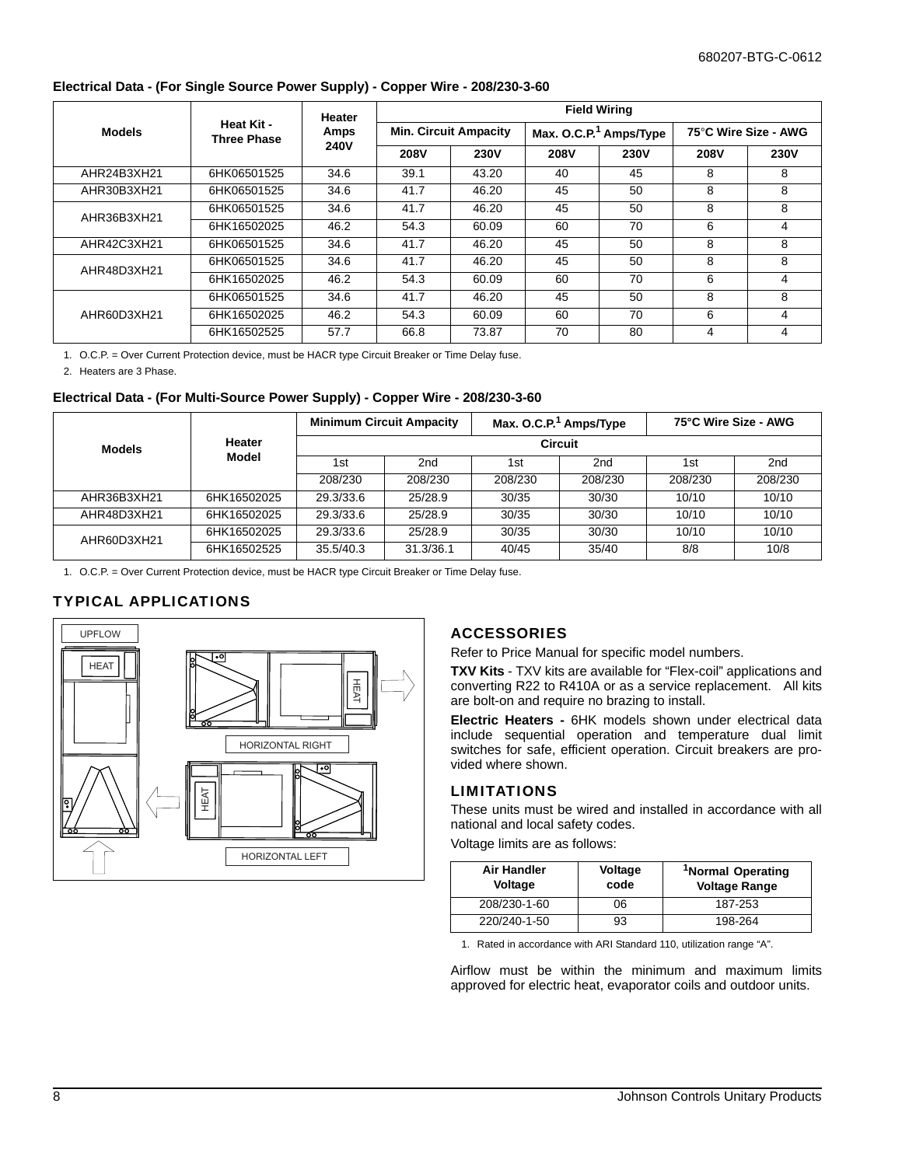#### **Electrical Data - (For Single Source Power Supply) - Copper Wire - 208/230-3-60**

|               |                           | Heater      | <b>Field Wiring</b>          |             |             |                                    |                      |             |  |  |
|---------------|---------------------------|-------------|------------------------------|-------------|-------------|------------------------------------|----------------------|-------------|--|--|
| <b>Models</b> | Heat Kit -<br>Three Phase | Amps        | <b>Min. Circuit Ampacity</b> |             |             | Max. O.C.P. <sup>1</sup> Amps/Type | 75°C Wire Size - AWG |             |  |  |
|               |                           | <b>240V</b> | <b>208V</b>                  | <b>230V</b> | <b>208V</b> | <b>230V</b>                        | <b>208V</b>          | <b>230V</b> |  |  |
| AHR24B3XH21   | 6HK06501525               | 34.6        | 39.1                         | 43.20       | 40          | 45                                 | 8                    | 8           |  |  |
| AHR30B3XH21   | 6HK06501525               | 34.6        | 41.7                         | 46.20       | 45          | 50                                 | 8                    | 8           |  |  |
| AHR36B3XH21   | 6HK06501525               | 34.6        | 41.7                         | 46.20       | 45          | 50                                 | 8                    | 8           |  |  |
|               | 6HK16502025               | 46.2        | 54.3                         | 60.09       | 60          | 70                                 | 6                    | 4           |  |  |
| AHR42C3XH21   | 6HK06501525               | 34.6        | 41.7                         | 46.20       | 45          | 50                                 | 8                    | 8           |  |  |
| AHR48D3XH21   | 6HK06501525               | 34.6        | 41.7                         | 46.20       | 45          | 50                                 | 8                    | 8           |  |  |
|               | 6HK16502025               | 46.2        | 54.3                         | 60.09       | 60          | 70                                 | 6                    | 4           |  |  |
|               | 6HK06501525               | 34.6        | 41.7                         | 46.20       | 45          | 50                                 | 8                    | 8           |  |  |
| AHR60D3XH21   | 6HK16502025               | 46.2        | 54.3                         | 60.09       | 60          | 70                                 | 6                    | 4           |  |  |
|               | 6HK16502525               | 57.7        | 66.8                         | 73.87       | 70          | 80                                 | 4                    | 4           |  |  |

1. O.C.P. = Over Current Protection device, must be HACR type Circuit Breaker or Time Delay fuse.

2. Heaters are 3 Phase.

#### **Electrical Data - (For Multi-Source Power Supply) - Copper Wire - 208/230-3-60**

| <b>Models</b> | Heater<br>Model | <b>Minimum Circuit Ampacity</b> |           |         | Max. O.C.P. <sup>1</sup> Amps/Type | 75°C Wire Size - AWG |                 |  |
|---------------|-----------------|---------------------------------|-----------|---------|------------------------------------|----------------------|-----------------|--|
|               |                 | <b>Circuit</b>                  |           |         |                                    |                      |                 |  |
|               |                 | 1st                             | 2nd       | 1st     | 2nd                                | 1st                  | 2 <sub>nd</sub> |  |
|               |                 | 208/230                         | 208/230   | 208/230 | 208/230                            | 208/230              | 208/230         |  |
| AHR36B3XH21   | 6HK16502025     | 29.3/33.6                       | 25/28.9   | 30/35   | 30/30                              | 10/10                | 10/10           |  |
| AHR48D3XH21   | 6HK16502025     | 29.3/33.6                       | 25/28.9   | 30/35   | 30/30                              | 10/10                | 10/10           |  |
| AHR60D3XH21   | 6HK16502025     | 29.3/33.6                       | 25/28.9   | 30/35   | 30/30                              | 10/10                | 10/10           |  |
|               | 6HK16502525     | 35.5/40.3                       | 31.3/36.1 | 40/45   | 35/40                              | 8/8                  | 10/8            |  |

1. O.C.P. = Over Current Protection device, must be HACR type Circuit Breaker or Time Delay fuse.

## TYPICAL APPLICATIONS



#### ACCESSORIES

Refer to Price Manual for specific model numbers.

**TXV Kits** - TXV kits are available for "Flex-coil" applications and converting R22 to R410A or as a service replacement. All kits are bolt-on and require no brazing to install.

**Electric Heaters -** 6HK models shown under electrical data include sequential operation and temperature dual limit switches for safe, efficient operation. Circuit breakers are provided where shown.

#### LIMITATIONS

These units must be wired and installed in accordance with all national and local safety codes.

Voltage limits are as follows:

| <b>Air Handler</b><br>Voltage | Voltage<br>code | <sup>1</sup> Normal Operating<br><b>Voltage Range</b> |  |  |
|-------------------------------|-----------------|-------------------------------------------------------|--|--|
| 208/230-1-60                  | 06              | 187-253                                               |  |  |
| 220/240-1-50                  | 93              | 198-264                                               |  |  |

1. Rated in accordance with ARI Standard 110, utilization range "A".

Airflow must be within the minimum and maximum limits approved for electric heat, evaporator coils and outdoor units.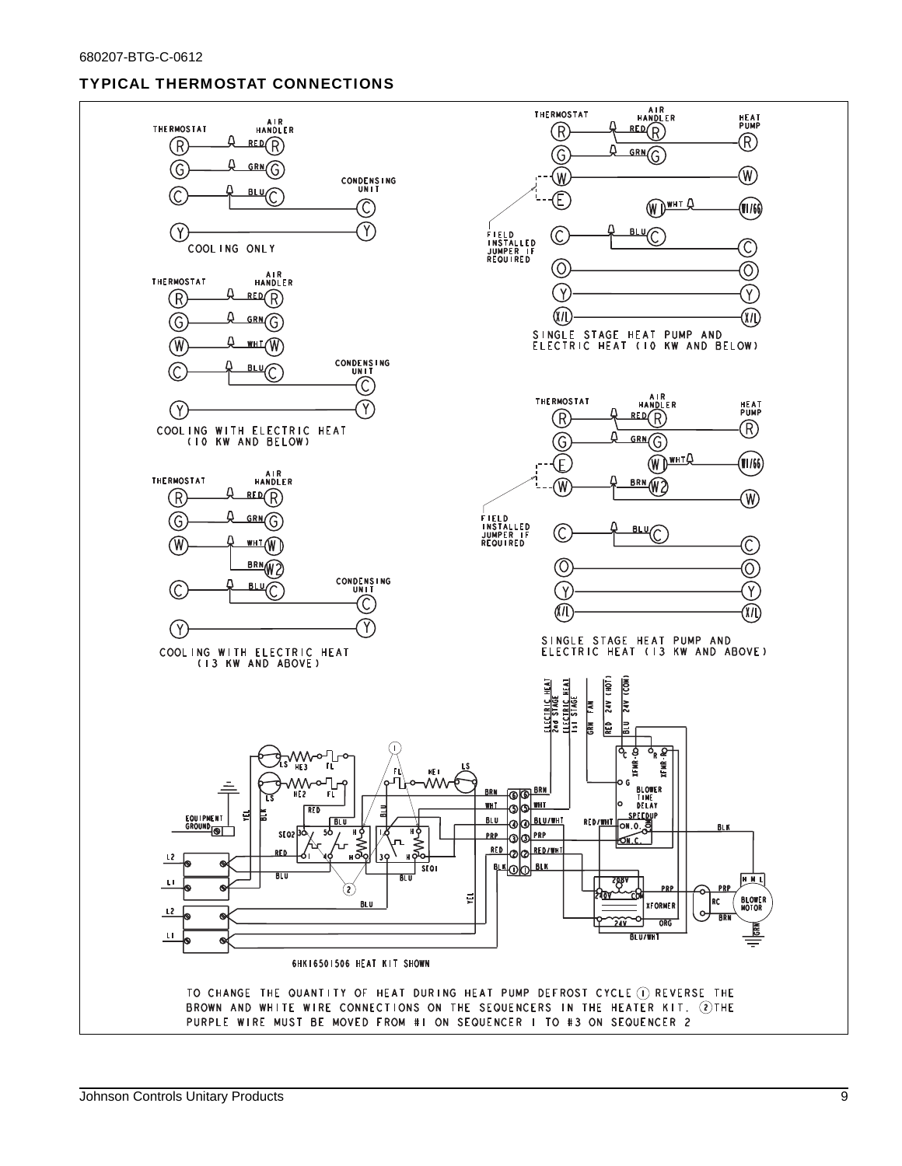# TYPICAL THERMOSTAT CONNECTIONS